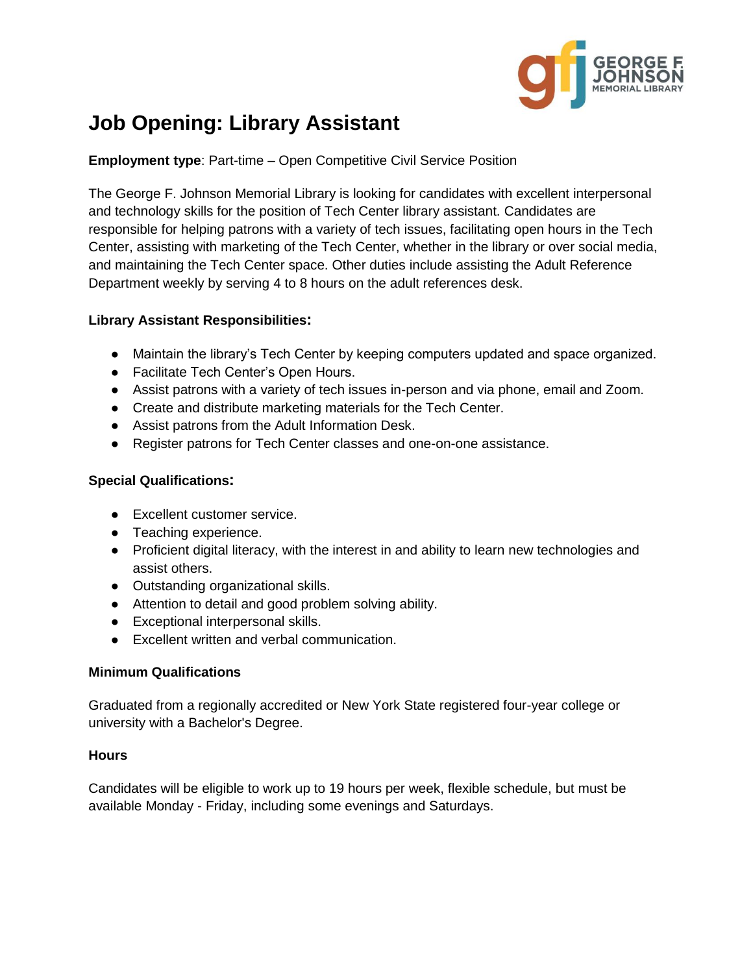

# **Job Opening: Library Assistant**

**Employment type**: Part-time – Open Competitive Civil Service Position

The George F. Johnson Memorial Library is looking for candidates with excellent interpersonal and technology skills for the position of Tech Center library assistant. Candidates are responsible for helping patrons with a variety of tech issues, facilitating open hours in the Tech Center, assisting with marketing of the Tech Center, whether in the library or over social media, and maintaining the Tech Center space. Other duties include assisting the Adult Reference Department weekly by serving 4 to 8 hours on the adult references desk.

## **Library Assistant Responsibilities:**

- Maintain the library's Tech Center by keeping computers updated and space organized.
- Facilitate Tech Center's Open Hours.
- Assist patrons with a variety of tech issues in-person and via phone, email and Zoom.
- Create and distribute marketing materials for the Tech Center.
- Assist patrons from the Adult Information Desk.
- Register patrons for Tech Center classes and one-on-one assistance.

## **Special Qualifications:**

- Excellent customer service.
- Teaching experience.
- Proficient digital literacy, with the interest in and ability to learn new technologies and assist others.
- Outstanding organizational skills.
- Attention to detail and good problem solving ability.
- Exceptional interpersonal skills.
- Excellent written and verbal communication.

#### **Minimum Qualifications**

Graduated from a regionally accredited or New York State registered four-year college or university with a Bachelor's Degree.

#### **Hours**

Candidates will be eligible to work up to 19 hours per week, flexible schedule, but must be available Monday - Friday, including some evenings and Saturdays.